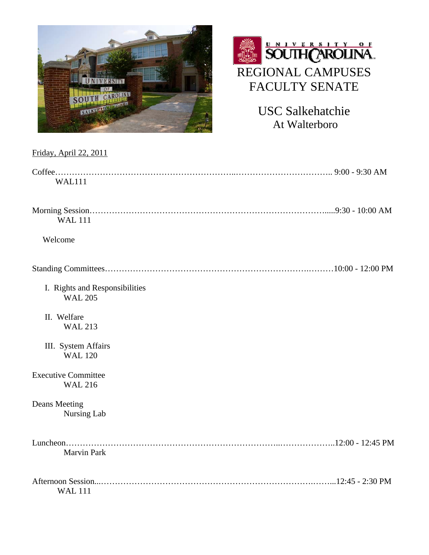



USC Salkehatchie At Walterboro

| Friday, April 22, 2011                           |
|--------------------------------------------------|
| <b>WAL111</b>                                    |
| <b>WAL111</b>                                    |
| Welcome                                          |
|                                                  |
| I. Rights and Responsibilities<br><b>WAL 205</b> |
| II. Welfare<br><b>WAL 213</b>                    |
| III. System Affairs<br><b>WAL 120</b>            |
| <b>Executive Committee</b><br><b>WAL 216</b>     |
| Deans Meeting<br>Nursing Lab                     |
| <b>Marvin Park</b>                               |
| <b>WAL 111</b>                                   |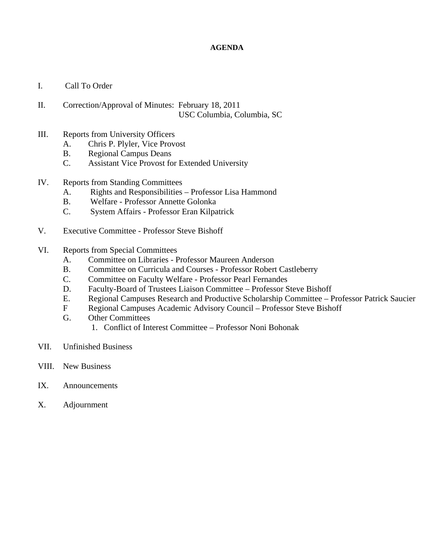### **AGENDA**

- I. Call To Order
- II. Correction/Approval of Minutes: February 18, 2011 USC Columbia, Columbia, SC
- III. Reports from University Officers
	- A. Chris P. Plyler, Vice Provost
	- B. Regional Campus Deans
	- C. Assistant Vice Provost for Extended University
- IV. Reports from Standing Committees
	- A. Rights and Responsibilities Professor Lisa Hammond
	- B. Welfare Professor Annette Golonka
	- C. System Affairs Professor Eran Kilpatrick
- V. Executive Committee Professor Steve Bishoff
- VI. Reports from Special Committees
	- A. Committee on Libraries Professor Maureen Anderson
	- B. Committee on Curricula and Courses Professor Robert Castleberry
	- C. Committee on Faculty Welfare Professor Pearl Fernandes
	- D. Faculty-Board of Trustees Liaison Committee Professor Steve Bishoff
	- E. Regional Campuses Research and Productive Scholarship Committee Professor Patrick Saucier
	- F Regional Campuses Academic Advisory Council Professor Steve Bishoff
	- G. Other Committees
		- 1. Conflict of Interest Committee Professor Noni Bohonak
- VII. Unfinished Business
- VIII. New Business
- IX. Announcements
- X. Adjournment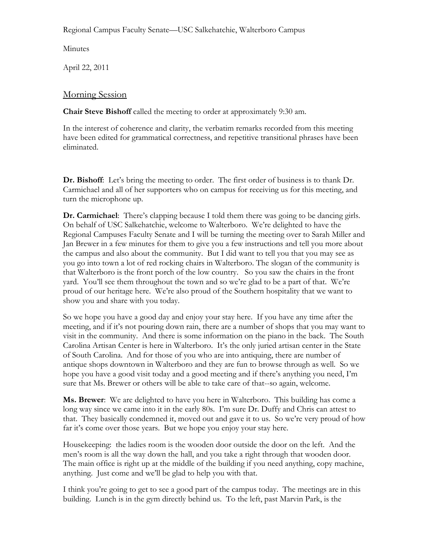Regional Campus Faculty Senate—USC Salkehatchie, Walterboro Campus

Minutes

April 22, 2011

# Morning Session

**Chair Steve Bishoff** called the meeting to order at approximately 9:30 am.

In the interest of coherence and clarity, the verbatim remarks recorded from this meeting have been edited for grammatical correctness, and repetitive transitional phrases have been eliminated.

**Dr. Bishoff**: Let's bring the meeting to order. The first order of business is to thank Dr. Carmichael and all of her supporters who on campus for receiving us for this meeting, and turn the microphone up.

**Dr. Carmichael**: There's clapping because I told them there was going to be dancing girls. On behalf of USC Salkehatchie, welcome to Walterboro. We're delighted to have the Regional Campuses Faculty Senate and I will be turning the meeting over to Sarah Miller and Jan Brewer in a few minutes for them to give you a few instructions and tell you more about the campus and also about the community. But I did want to tell you that you may see as you go into town a lot of red rocking chairs in Walterboro. The slogan of the community is that Walterboro is the front porch of the low country. So you saw the chairs in the front yard. You'll see them throughout the town and so we're glad to be a part of that. We're proud of our heritage here. We're also proud of the Southern hospitality that we want to show you and share with you today.

So we hope you have a good day and enjoy your stay here. If you have any time after the meeting, and if it's not pouring down rain, there are a number of shops that you may want to visit in the community. And there is some information on the piano in the back. The South Carolina Artisan Center is here in Walterboro. It's the only juried artisan center in the State of South Carolina. And for those of you who are into antiquing, there are number of antique shops downtown in Walterboro and they are fun to browse through as well. So we hope you have a good visit today and a good meeting and if there's anything you need, I'm sure that Ms. Brewer or others will be able to take care of that--so again, welcome.

**Ms. Brewer**: We are delighted to have you here in Walterboro. This building has come a long way since we came into it in the early 80s. I'm sure Dr. Duffy and Chris can attest to that. They basically condemned it, moved out and gave it to us. So we're very proud of how far it's come over those years. But we hope you enjoy your stay here.

Housekeeping: the ladies room is the wooden door outside the door on the left. And the men's room is all the way down the hall, and you take a right through that wooden door. The main office is right up at the middle of the building if you need anything, copy machine, anything. Just come and we'll be glad to help you with that.

I think you're going to get to see a good part of the campus today. The meetings are in this building. Lunch is in the gym directly behind us. To the left, past Marvin Park, is the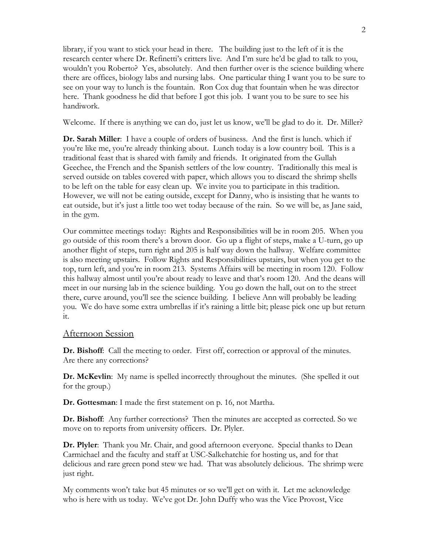library, if you want to stick your head in there. The building just to the left of it is the research center where Dr. Refinetti's critters live. And I'm sure he'd be glad to talk to you, wouldn't you Roberto? Yes, absolutely. And then further over is the science building where there are offices, biology labs and nursing labs. One particular thing I want you to be sure to see on your way to lunch is the fountain. Ron Cox dug that fountain when he was director here. Thank goodness he did that before I got this job. I want you to be sure to see his handiwork.

Welcome. If there is anything we can do, just let us know, we'll be glad to do it. Dr. Miller?

**Dr. Sarah Miller**: I have a couple of orders of business. And the first is lunch. which if you're like me, you're already thinking about. Lunch today is a low country boil. This is a traditional feast that is shared with family and friends. It originated from the Gullah Geechee, the French and the Spanish settlers of the low country. Traditionally this meal is served outside on tables covered with paper, which allows you to discard the shrimp shells to be left on the table for easy clean up. We invite you to participate in this tradition. However, we will not be eating outside, except for Danny, who is insisting that he wants to eat outside, but it's just a little too wet today because of the rain. So we will be, as Jane said, in the gym.

Our committee meetings today: Rights and Responsibilities will be in room 205. When you go outside of this room there's a brown door. Go up a flight of steps, make a U-turn, go up another flight of steps, turn right and 205 is half way down the hallway. Welfare committee is also meeting upstairs. Follow Rights and Responsibilities upstairs, but when you get to the top, turn left, and you're in room 213. Systems Affairs will be meeting in room 120. Follow this hallway almost until you're about ready to leave and that's room 120. And the deans will meet in our nursing lab in the science building. You go down the hall, out on to the street there, curve around, you'll see the science building. I believe Ann will probably be leading you. We do have some extra umbrellas if it's raining a little bit; please pick one up but return it.

### Afternoon Session

**Dr. Bishoff**: Call the meeting to order. First off, correction or approval of the minutes. Are there any corrections?

**Dr. McKevlin**: My name is spelled incorrectly throughout the minutes. (She spelled it out for the group.)

**Dr. Gottesman**: I made the first statement on p. 16, not Martha.

**Dr. Bishoff**: Any further corrections? Then the minutes are accepted as corrected. So we move on to reports from university officers. Dr. Plyler.

**Dr. Plyler**: Thank you Mr. Chair, and good afternoon everyone. Special thanks to Dean Carmichael and the faculty and staff at USC-Salkehatchie for hosting us, and for that delicious and rare green pond stew we had. That was absolutely delicious. The shrimp were just right.

My comments won't take but 45 minutes or so we'll get on with it. Let me acknowledge who is here with us today. We've got Dr. John Duffy who was the Vice Provost, Vice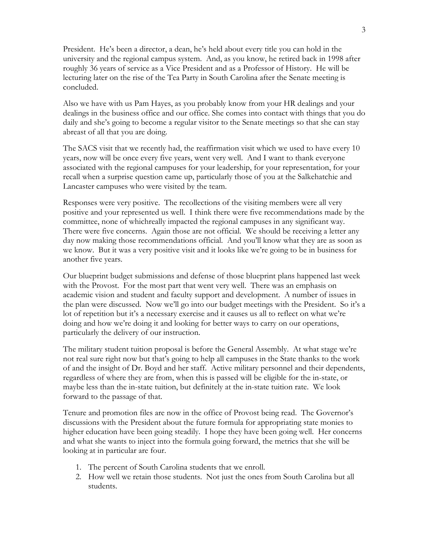President. He's been a director, a dean, he's held about every title you can hold in the university and the regional campus system. And, as you know, he retired back in 1998 after roughly 36 years of service as a Vice President and as a Professor of History. He will be lecturing later on the rise of the Tea Party in South Carolina after the Senate meeting is concluded.

Also we have with us Pam Hayes, as you probably know from your HR dealings and your dealings in the business office and our office. She comes into contact with things that you do daily and she's going to become a regular visitor to the Senate meetings so that she can stay abreast of all that you are doing.

The SACS visit that we recently had, the reaffirmation visit which we used to have every 10 years, now will be once every five years, went very well. And I want to thank everyone associated with the regional campuses for your leadership, for your representation, for your recall when a surprise question came up, particularly those of you at the Salkehatchie and Lancaster campuses who were visited by the team.

Responses were very positive. The recollections of the visiting members were all very positive and your represented us well. I think there were five recommendations made by the committee, none of whichreally impacted the regional campuses in any significant way. There were five concerns. Again those are not official. We should be receiving a letter any day now making those recommendations official. And you'll know what they are as soon as we know. But it was a very positive visit and it looks like we're going to be in business for another five years.

Our blueprint budget submissions and defense of those blueprint plans happened last week with the Provost. For the most part that went very well. There was an emphasis on academic vision and student and faculty support and development. A number of issues in the plan were discussed. Now we'll go into our budget meetings with the President. So it's a lot of repetition but it's a necessary exercise and it causes us all to reflect on what we're doing and how we're doing it and looking for better ways to carry on our operations, particularly the delivery of our instruction.

The military student tuition proposal is before the General Assembly. At what stage we're not real sure right now but that's going to help all campuses in the State thanks to the work of and the insight of Dr. Boyd and her staff. Active military personnel and their dependents, regardless of where they are from, when this is passed will be eligible for the in-state, or maybe less than the in-state tuition, but definitely at the in-state tuition rate. We look forward to the passage of that.

Tenure and promotion files are now in the office of Provost being read. The Governor's discussions with the President about the future formula for appropriating state monies to higher education have been going steadily. I hope they have been going well. Her concerns and what she wants to inject into the formula going forward, the metrics that she will be looking at in particular are four.

- 1. The percent of South Carolina students that we enroll.
- 2. How well we retain those students. Not just the ones from South Carolina but all students.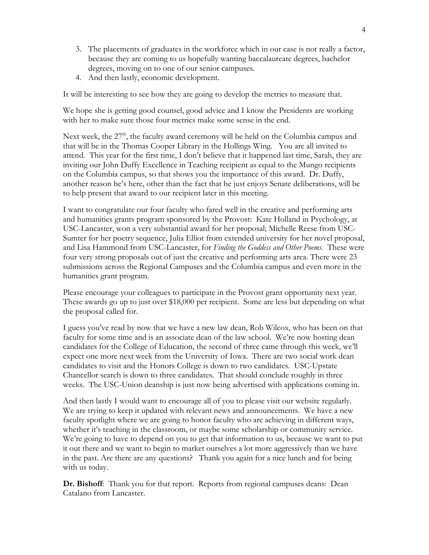- 3. The placements of graduates in the workforce which in our case is not really a factor, because they are coming to us hopefully wanting baccalaureate degrees, bachelor degrees, moving on to one of our senior campuses.
- 4. And then lastly, economic development.

It will be interesting to see how they are going to develop the metrics to measure that.

We hope she is getting good counsel, good advice and I know the Presidents are working with her to make sure those four metrics make some sense in the end.

Next week, the  $27<sup>th</sup>$ , the faculty award ceremony will be held on the Columbia campus and that will be in the Thomas Cooper Library in the Hollings Wing. You are all invited to attend. This year for the first time, I don't believe that it happened last time, Sarah, they are inviting our John Duffy Excellence in Teaching recipient as equal to the Mungo recipients on the Columbia campus, so that shows you the importance of this award. Dr. Duffy, another reason he's here, other than the fact that he just enjoys Senate deliberations, will be to help present that award to our recipient later in this meeting.

I want to congratulate our four faculty who fared well in the creative and performing arts and humanities grants program sponsored by the Provost: Kate Holland in Psychology, at USC-Lancaster, won a very substantial award for her proposal; Michelle Reese from USC-Sumter for her poetry sequence, Julia Elliot from extended university for her novel proposal, and Lisa Hammond from USC-Lancaster, for *Finding the Goddess and Other Poems*. These were four very strong proposals out of just the creative and performing arts area. There were 23 submissions across the Regional Campuses and the Columbia campus and even more in the humanities grant program.

Please encourage your colleagues to participate in the Provost grant opportunity next year. These awards go up to just over \$18,000 per recipient. Some are less but depending on what the proposal called for.

I guess you've read by now that we have a new law dean, Rob Wilcox, who has been on that faculty for some time and is an associate dean of the law school. We're now hosting dean candidates for the College of Education, the second of three came through this week, we'll expect one more next week from the University of Iowa. There are two social work dean candidates to visit and the Honors College is down to two candidates. USC-Upstate Chancellor search is down to three candidates. That should conclude roughly in three weeks. The USC-Union deanship is just now being advertised with applications coming in.

And then lastly I would want to encourage all of you to please visit our website regularly. We are trying to keep it updated with relevant news and announcements. We have a new faculty spotlight where we are going to honor faculty who are achieving in different ways, whether it's teaching in the classroom, or maybe some scholarship or community service. We're going to have to depend on you to get that information to us, because we want to put it out there and we want to begin to market ourselves a lot more aggressively than we have in the past. Are there are any questions? Thank you again for a nice lunch and for being with us today.

**Dr. Bishoff**: Thank you for that report. Reports from regional campuses deans: Dean Catalano from Lancaster.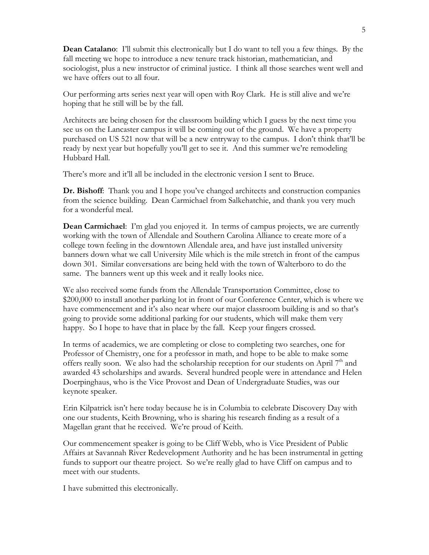**Dean Catalano**: I'll submit this electronically but I do want to tell you a few things. By the fall meeting we hope to introduce a new tenure track historian, mathematician, and sociologist, plus a new instructor of criminal justice. I think all those searches went well and we have offers out to all four.

Our performing arts series next year will open with Roy Clark. He is still alive and we're hoping that he still will be by the fall.

Architects are being chosen for the classroom building which I guess by the next time you see us on the Lancaster campus it will be coming out of the ground. We have a property purchased on US 521 now that will be a new entryway to the campus. I don't think that'll be ready by next year but hopefully you'll get to see it. And this summer we're remodeling Hubbard Hall.

There's more and it'll all be included in the electronic version I sent to Bruce.

**Dr. Bishoff**: Thank you and I hope you've changed architects and construction companies from the science building. Dean Carmichael from Salkehatchie, and thank you very much for a wonderful meal.

**Dean Carmichael**: I'm glad you enjoyed it. In terms of campus projects, we are currently working with the town of Allendale and Southern Carolina Alliance to create more of a college town feeling in the downtown Allendale area, and have just installed university banners down what we call University Mile which is the mile stretch in front of the campus down 301. Similar conversations are being held with the town of Walterboro to do the same. The banners went up this week and it really looks nice.

We also received some funds from the Allendale Transportation Committee, close to \$200,000 to install another parking lot in front of our Conference Center, which is where we have commencement and it's also near where our major classroom building is and so that's going to provide some additional parking for our students, which will make them very happy. So I hope to have that in place by the fall. Keep your fingers crossed.

In terms of academics, we are completing or close to completing two searches, one for Professor of Chemistry, one for a professor in math, and hope to be able to make some offers really soon. We also had the scholarship reception for our students on April  $7<sup>th</sup>$  and awarded 43 scholarships and awards. Several hundred people were in attendance and Helen Doerpinghaus, who is the Vice Provost and Dean of Undergraduate Studies, was our keynote speaker.

Erin Kilpatrick isn't here today because he is in Columbia to celebrate Discovery Day with one our students, Keith Browning, who is sharing his research finding as a result of a Magellan grant that he received. We're proud of Keith.

Our commencement speaker is going to be Cliff Webb, who is Vice President of Public Affairs at Savannah River Redevelopment Authority and he has been instrumental in getting funds to support our theatre project. So we're really glad to have Cliff on campus and to meet with our students.

I have submitted this electronically.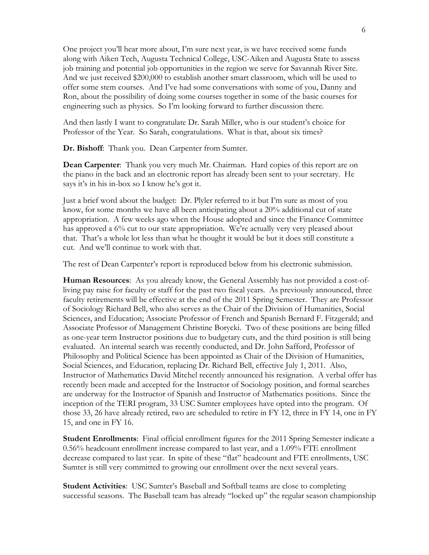One project you'll hear more about, I'm sure next year, is we have received some funds along with Aiken Tech, Augusta Technical College, USC-Aiken and Augusta State to assess job training and potential job opportunities in the region we serve for Savannah River Site. And we just received \$200,000 to establish another smart classroom, which will be used to offer some stem courses. And I've had some conversations with some of you, Danny and Ron, about the possibility of doing some courses together in some of the basic courses for engineering such as physics. So I'm looking forward to further discussion there.

And then lastly I want to congratulate Dr. Sarah Miller, who is our student's choice for Professor of the Year. So Sarah, congratulations. What is that, about six times?

**Dr. Bishoff**: Thank you. Dean Carpenter from Sumter.

**Dean Carpenter**: Thank you very much Mr. Chairman. Hard copies of this report are on the piano in the back and an electronic report has already been sent to your secretary. He says it's in his in-box so I know he's got it.

Just a brief word about the budget: Dr. Plyler referred to it but I'm sure as most of you know, for some months we have all been anticipating about a 20% additional cut of state appropriation. A few weeks ago when the House adopted and since the Finance Committee has approved a 6% cut to our state appropriation. We're actually very very pleased about that. That's a whole lot less than what he thought it would be but it does still constitute a cut. And we'll continue to work with that.

The rest of Dean Carpenter's report is reproduced below from his electronic submission.

**Human Resources**: As you already know, the General Assembly has not provided a cost-ofliving pay raise for faculty or staff for the past two fiscal years. As previously announced, three faculty retirements will be effective at the end of the 2011 Spring Semester. They are Professor of Sociology Richard Bell, who also serves as the Chair of the Division of Humanities, Social Sciences, and Education; Associate Professor of French and Spanish Bernard F. Fitzgerald; and Associate Professor of Management Christine Borycki. Two of these positions are being filled as one-year term Instructor positions due to budgetary cuts, and the third position is still being evaluated. An internal search was recently conducted, and Dr. John Safford, Professor of Philosophy and Political Science has been appointed as Chair of the Division of Humanities, Social Sciences, and Education, replacing Dr. Richard Bell, effective July 1, 2011. Also, Instructor of Mathematics David Mitchel recently announced his resignation. A verbal offer has recently been made and accepted for the Instructor of Sociology position, and formal searches are underway for the Instructor of Spanish and Instructor of Mathematics positions. Since the inception of the TERI program, 33 USC Sumter employees have opted into the program. Of those 33, 26 have already retired, two are scheduled to retire in FY 12, three in FY 14, one in FY 15, and one in FY 16.

**Student Enrollments**: Final official enrollment figures for the 2011 Spring Semester indicate a 0.56% headcount enrollment increase compared to last year, and a 1.09% FTE enrollment decrease compared to last year. In spite of these "flat" headcount and FTE enrollments, USC Sumter is still very committed to growing our enrollment over the next several years.

**Student Activities**: USC Sumter's Baseball and Softball teams are close to completing successful seasons. The Baseball team has already "locked up" the regular season championship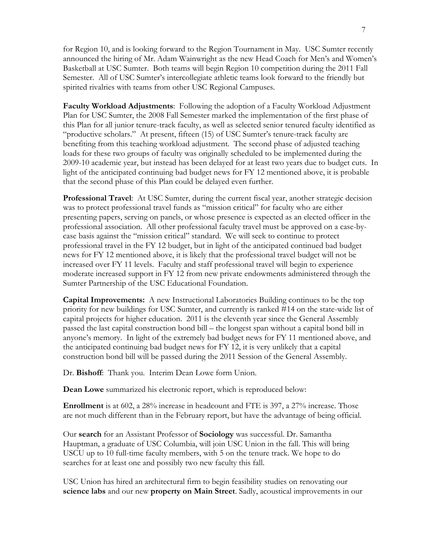for Region 10, and is looking forward to the Region Tournament in May. USC Sumter recently announced the hiring of Mr. Adam Wainwright as the new Head Coach for Men's and Women's Basketball at USC Sumter. Both teams will begin Region 10 competition during the 2011 Fall Semester. All of USC Sumter's intercollegiate athletic teams look forward to the friendly but spirited rivalries with teams from other USC Regional Campuses.

**Faculty Workload Adjustments**: Following the adoption of a Faculty Workload Adjustment Plan for USC Sumter, the 2008 Fall Semester marked the implementation of the first phase of this Plan for all junior tenure-track faculty, as well as selected senior tenured faculty identified as "productive scholars." At present, fifteen (15) of USC Sumter's tenure-track faculty are benefiting from this teaching workload adjustment. The second phase of adjusted teaching loads for these two groups of faculty was originally scheduled to be implemented during the 2009-10 academic year, but instead has been delayed for at least two years due to budget cuts. In light of the anticipated continuing bad budget news for FY 12 mentioned above, it is probable that the second phase of this Plan could be delayed even further.

**Professional Travel**: At USC Sumter, during the current fiscal year, another strategic decision was to protect professional travel funds as "mission critical" for faculty who are either presenting papers, serving on panels, or whose presence is expected as an elected officer in the professional association. All other professional faculty travel must be approved on a case-bycase basis against the "mission critical" standard. We will seek to continue to protect professional travel in the FY 12 budget, but in light of the anticipated continued bad budget news for FY 12 mentioned above, it is likely that the professional travel budget will not be increased over FY 11 levels. Faculty and staff professional travel will begin to experience moderate increased support in FY 12 from new private endowments administered through the Sumter Partnership of the USC Educational Foundation.

**Capital Improvements:** A new Instructional Laboratories Building continues to be the top priority for new buildings for USC Sumter, and currently is ranked #14 on the state-wide list of capital projects for higher education. 2011 is the eleventh year since the General Assembly passed the last capital construction bond bill – the longest span without a capital bond bill in anyone's memory. In light of the extremely bad budget news for FY 11 mentioned above, and the anticipated continuing bad budget news for FY 12, it is very unlikely that a capital construction bond bill will be passed during the 2011 Session of the General Assembly.

Dr. **Bishoff**: Thank you. Interim Dean Lowe form Union.

**Dean Lowe** summarized his electronic report, which is reproduced below:

**Enrollment** is at 602, a 28% increase in headcount and FTE is 397, a 27% increase. Those are not much different than in the February report, but have the advantage of being official.

Our **search** for an Assistant Professor of **Sociology** was successful. Dr. Samantha Hauptman, a graduate of USC Columbia, will join USC Union in the fall. This will bring USCU up to 10 full-time faculty members, with 5 on the tenure track. We hope to do searches for at least one and possibly two new faculty this fall.

USC Union has hired an architectural firm to begin feasibility studies on renovating our **science labs** and our new **property on Main Street**. Sadly, acoustical improvements in our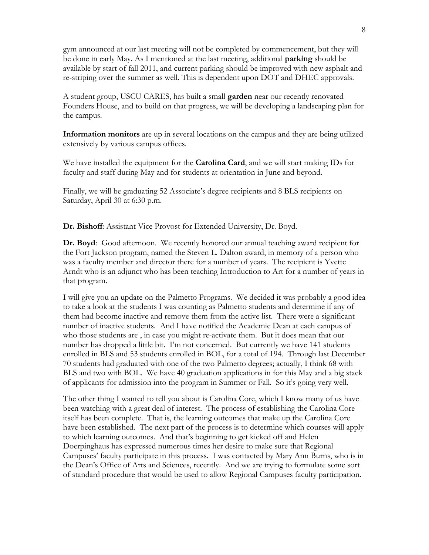gym announced at our last meeting will not be completed by commencement, but they will be done in early May. As I mentioned at the last meeting, additional **parking** should be available by start of fall 2011, and current parking should be improved with new asphalt and re-striping over the summer as well. This is dependent upon DOT and DHEC approvals.

A student group, USCU CARES, has built a small **garden** near our recently renovated Founders House, and to build on that progress, we will be developing a landscaping plan for the campus.

**Information monitors** are up in several locations on the campus and they are being utilized extensively by various campus offices.

We have installed the equipment for the **Carolina Card**, and we will start making IDs for faculty and staff during May and for students at orientation in June and beyond.

Finally, we will be graduating 52 Associate's degree recipients and 8 BLS recipients on Saturday, April 30 at 6:30 p.m.

**Dr. Bishoff**: Assistant Vice Provost for Extended University, Dr. Boyd.

**Dr. Boyd**: Good afternoon. We recently honored our annual teaching award recipient for the Fort Jackson program, named the Steven L. Dalton award, in memory of a person who was a faculty member and director there for a number of years. The recipient is Yvette Arndt who is an adjunct who has been teaching Introduction to Art for a number of years in that program.

I will give you an update on the Palmetto Programs. We decided it was probably a good idea to take a look at the students I was counting as Palmetto students and determine if any of them had become inactive and remove them from the active list. There were a significant number of inactive students. And I have notified the Academic Dean at each campus of who those students are , in case you might re-activate them. But it does mean that our number has dropped a little bit. I'm not concerned. But currently we have 141 students enrolled in BLS and 53 students enrolled in BOL, for a total of 194. Through last December 70 students had graduated with one of the two Palmetto degrees; actually, I think 68 with BLS and two with BOL. We have 40 graduation applications in for this May and a big stack of applicants for admission into the program in Summer or Fall. So it's going very well.

The other thing I wanted to tell you about is Carolina Core, which I know many of us have been watching with a great deal of interest. The process of establishing the Carolina Core itself has been complete. That is, the learning outcomes that make up the Carolina Core have been established. The next part of the process is to determine which courses will apply to which learning outcomes. And that's beginning to get kicked off and Helen Doerpinghaus has expressed numerous times her desire to make sure that Regional Campuses' faculty participate in this process. I was contacted by Mary Ann Burns, who is in the Dean's Office of Arts and Sciences, recently. And we are trying to formulate some sort of standard procedure that would be used to allow Regional Campuses faculty participation.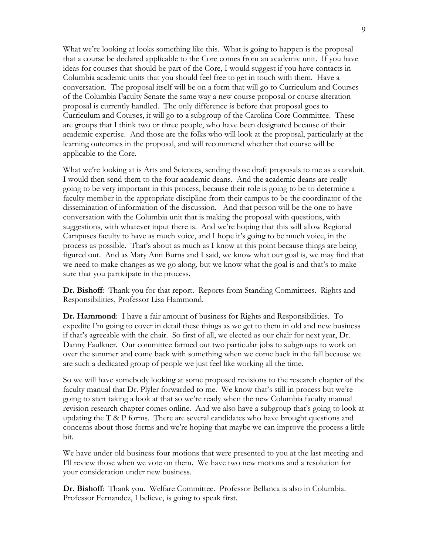What we're looking at looks something like this. What is going to happen is the proposal that a course be declared applicable to the Core comes from an academic unit. If you have ideas for courses that should be part of the Core, I would suggest if you have contacts in Columbia academic units that you should feel free to get in touch with them. Have a conversation. The proposal itself will be on a form that will go to Curriculum and Courses of the Columbia Faculty Senate the same way a new course proposal or course alteration proposal is currently handled. The only difference is before that proposal goes to Curriculum and Courses, it will go to a subgroup of the Carolina Core Committee. These are groups that I think two or three people, who have been designated because of their academic expertise. And those are the folks who will look at the proposal, particularly at the learning outcomes in the proposal, and will recommend whether that course will be applicable to the Core.

What we're looking at is Arts and Sciences, sending those draft proposals to me as a conduit. I would then send them to the four academic deans. And the academic deans are really going to be very important in this process, because their role is going to be to determine a faculty member in the appropriate discipline from their campus to be the coordinator of the dissemination of information of the discussion. And that person will be the one to have conversation with the Columbia unit that is making the proposal with questions, with suggestions, with whatever input there is. And we're hoping that this will allow Regional Campuses faculty to have as much voice, and I hope it's going to be much voice, in the process as possible. That's about as much as I know at this point because things are being figured out. And as Mary Ann Burns and I said, we know what our goal is, we may find that we need to make changes as we go along, but we know what the goal is and that's to make sure that you participate in the process.

**Dr. Bishoff**: Thank you for that report. Reports from Standing Committees. Rights and Responsibilities, Professor Lisa Hammond.

**Dr. Hammond**: I have a fair amount of business for Rights and Responsibilities. To expedite I'm going to cover in detail these things as we get to them in old and new business if that's agreeable with the chair. So first of all, we elected as our chair for next year, Dr. Danny Faulkner. Our committee farmed out two particular jobs to subgroups to work on over the summer and come back with something when we come back in the fall because we are such a dedicated group of people we just feel like working all the time.

So we will have somebody looking at some proposed revisions to the research chapter of the faculty manual that Dr. Plyler forwarded to me. We know that's still in process but we're going to start taking a look at that so we're ready when the new Columbia faculty manual revision research chapter comes online. And we also have a subgroup that's going to look at updating the T & P forms. There are several candidates who have brought questions and concerns about those forms and we're hoping that maybe we can improve the process a little bit.

We have under old business four motions that were presented to you at the last meeting and I'll review those when we vote on them. We have two new motions and a resolution for your consideration under new business.

**Dr. Bishoff**: Thank you. Welfare Committee. Professor Bellanca is also in Columbia. Professor Fernandez, I believe, is going to speak first.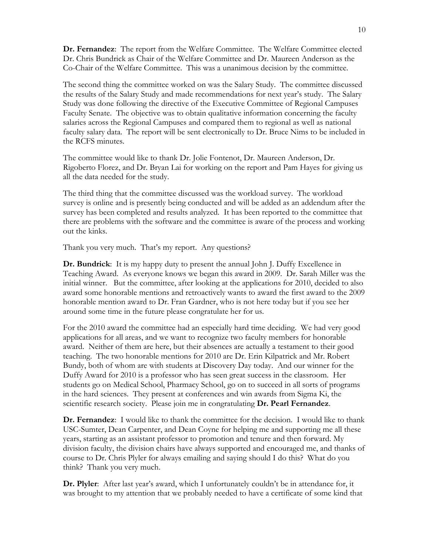**Dr. Fernandez**: The report from the Welfare Committee. The Welfare Committee elected Dr. Chris Bundrick as Chair of the Welfare Committee and Dr. Maureen Anderson as the Co-Chair of the Welfare Committee. This was a unanimous decision by the committee.

The second thing the committee worked on was the Salary Study. The committee discussed the results of the Salary Study and made recommendations for next year's study. The Salary Study was done following the directive of the Executive Committee of Regional Campuses Faculty Senate. The objective was to obtain qualitative information concerning the faculty salaries across the Regional Campuses and compared them to regional as well as national faculty salary data. The report will be sent electronically to Dr. Bruce Nims to be included in the RCFS minutes.

The committee would like to thank Dr. Jolie Fontenot, Dr. Maureen Anderson, Dr. Rigoberto Florez, and Dr. Bryan Lai for working on the report and Pam Hayes for giving us all the data needed for the study.

The third thing that the committee discussed was the workload survey. The workload survey is online and is presently being conducted and will be added as an addendum after the survey has been completed and results analyzed. It has been reported to the committee that there are problems with the software and the committee is aware of the process and working out the kinks.

Thank you very much. That's my report. Any questions?

**Dr. Bundrick**: It is my happy duty to present the annual John J. Duffy Excellence in Teaching Award. As everyone knows we began this award in 2009. Dr. Sarah Miller was the initial winner. But the committee, after looking at the applications for 2010, decided to also award some honorable mentions and retroactively wants to award the first award to the 2009 honorable mention award to Dr. Fran Gardner, who is not here today but if you see her around some time in the future please congratulate her for us.

For the 2010 award the committee had an especially hard time deciding. We had very good applications for all areas, and we want to recognize two faculty members for honorable award. Neither of them are here, but their absences are actually a testament to their good teaching. The two honorable mentions for 2010 are Dr. Erin Kilpatrick and Mr. Robert Bundy, both of whom are with students at Discovery Day today. And our winner for the Duffy Award for 2010 is a professor who has seen great success in the classroom. Her students go on Medical School, Pharmacy School, go on to succeed in all sorts of programs in the hard sciences. They present at conferences and win awards from Sigma Ki, the scientific research society. Please join me in congratulating **Dr. Pearl Fernandez**.

**Dr. Fernandez**: I would like to thank the committee for the decision. I would like to thank USC-Sumter, Dean Carpenter, and Dean Coyne for helping me and supporting me all these years, starting as an assistant professor to promotion and tenure and then forward. My division faculty, the division chairs have always supported and encouraged me, and thanks of course to Dr. Chris Plyler for always emailing and saying should I do this? What do you think? Thank you very much.

**Dr. Plyler**: After last year's award, which I unfortunately couldn't be in attendance for, it was brought to my attention that we probably needed to have a certificate of some kind that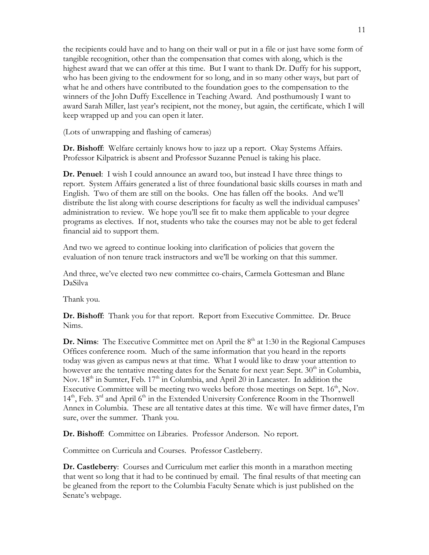the recipients could have and to hang on their wall or put in a file or just have some form of tangible recognition, other than the compensation that comes with along, which is the highest award that we can offer at this time. But I want to thank Dr. Duffy for his support, who has been giving to the endowment for so long, and in so many other ways, but part of what he and others have contributed to the foundation goes to the compensation to the winners of the John Duffy Excellence in Teaching Award. And posthumously I want to award Sarah Miller, last year's recipient, not the money, but again, the certificate, which I will keep wrapped up and you can open it later.

(Lots of unwrapping and flashing of cameras)

**Dr. Bishoff**: Welfare certainly knows how to jazz up a report. Okay Systems Affairs. Professor Kilpatrick is absent and Professor Suzanne Penuel is taking his place.

**Dr. Penuel**: I wish I could announce an award too, but instead I have three things to report. System Affairs generated a list of three foundational basic skills courses in math and English. Two of them are still on the books. One has fallen off the books. And we'll distribute the list along with course descriptions for faculty as well the individual campuses' administration to review. We hope you'll see fit to make them applicable to your degree programs as electives. If not, students who take the courses may not be able to get federal financial aid to support them.

And two we agreed to continue looking into clarification of policies that govern the evaluation of non tenure track instructors and we'll be working on that this summer.

And three, we've elected two new committee co-chairs, Carmela Gottesman and Blane DaSilva

Thank you.

**Dr. Bishoff**: Thank you for that report. Report from Executive Committee. Dr. Bruce Nims.

**Dr. Nims**: The Executive Committee met on April the  $8<sup>th</sup>$  at 1:30 in the Regional Campuses Offices conference room. Much of the same information that you heard in the reports today was given as campus news at that time. What I would like to draw your attention to however are the tentative meeting dates for the Senate for next year: Sept.  $30<sup>th</sup>$  in Columbia, Nov.  $18<sup>th</sup>$  in Sumter, Feb.  $17<sup>th</sup>$  in Columbia, and April 20 in Lancaster. In addition the Executive Committee will be meeting two weeks before those meetings on Sept.  $16<sup>th</sup>$ , Nov.  $14<sup>th</sup>$ , Feb.  $3<sup>rd</sup>$  and April  $6<sup>th</sup>$  in the Extended University Conference Room in the Thornwell Annex in Columbia. These are all tentative dates at this time. We will have firmer dates, I'm sure, over the summer. Thank you.

**Dr. Bishoff**: Committee on Libraries. Professor Anderson. No report.

Committee on Curricula and Courses. Professor Castleberry.

**Dr. Castleberry**: Courses and Curriculum met earlier this month in a marathon meeting that went so long that it had to be continued by email. The final results of that meeting can be gleaned from the report to the Columbia Faculty Senate which is just published on the Senate's webpage.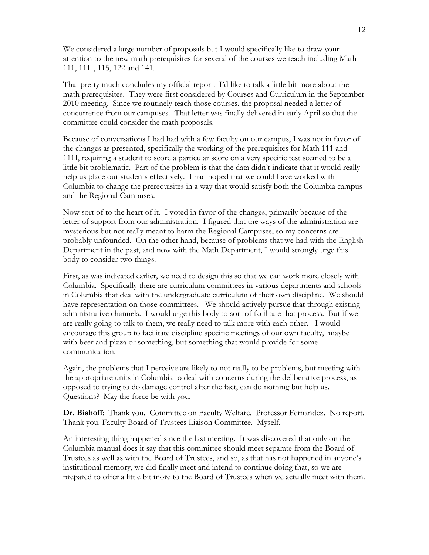We considered a large number of proposals but I would specifically like to draw your attention to the new math prerequisites for several of the courses we teach including Math 111, 111I, 115, 122 and 141.

That pretty much concludes my official report. I'd like to talk a little bit more about the math prerequisites. They were first considered by Courses and Curriculum in the September 2010 meeting. Since we routinely teach those courses, the proposal needed a letter of concurrence from our campuses. That letter was finally delivered in early April so that the committee could consider the math proposals.

Because of conversations I had had with a few faculty on our campus, I was not in favor of the changes as presented, specifically the working of the prerequisites for Math 111 and 111I, requiring a student to score a particular score on a very specific test seemed to be a little bit problematic. Part of the problem is that the data didn't indicate that it would really help us place our students effectively. I had hoped that we could have worked with Columbia to change the prerequisites in a way that would satisfy both the Columbia campus and the Regional Campuses.

Now sort of to the heart of it. I voted in favor of the changes, primarily because of the letter of support from our administration. I figured that the ways of the administration are mysterious but not really meant to harm the Regional Campuses, so my concerns are probably unfounded. On the other hand, because of problems that we had with the English Department in the past, and now with the Math Department, I would strongly urge this body to consider two things.

First, as was indicated earlier, we need to design this so that we can work more closely with Columbia. Specifically there are curriculum committees in various departments and schools in Columbia that deal with the undergraduate curriculum of their own discipline. We should have representation on those committees. We should actively pursue that through existing administrative channels. I would urge this body to sort of facilitate that process. But if we are really going to talk to them, we really need to talk more with each other. I would encourage this group to facilitate discipline specific meetings of our own faculty, maybe with beer and pizza or something, but something that would provide for some communication.

Again, the problems that I perceive are likely to not really to be problems, but meeting with the appropriate units in Columbia to deal with concerns during the deliberative process, as opposed to trying to do damage control after the fact, can do nothing but help us. Questions? May the force be with you.

**Dr. Bishoff**: Thank you. Committee on Faculty Welfare. Professor Fernandez. No report. Thank you. Faculty Board of Trustees Liaison Committee. Myself.

An interesting thing happened since the last meeting. It was discovered that only on the Columbia manual does it say that this committee should meet separate from the Board of Trustees as well as with the Board of Trustees, and so, as that has not happened in anyone's institutional memory, we did finally meet and intend to continue doing that, so we are prepared to offer a little bit more to the Board of Trustees when we actually meet with them.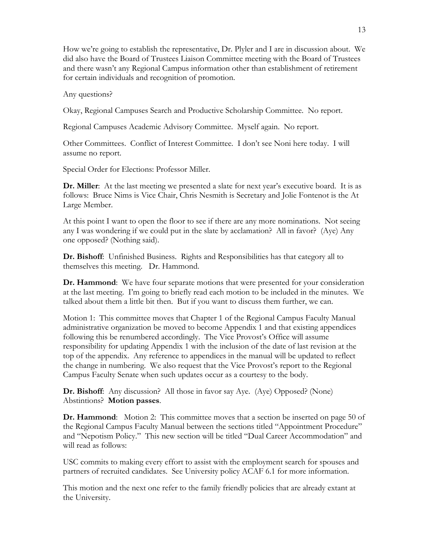How we're going to establish the representative, Dr. Plyler and I are in discussion about. We did also have the Board of Trustees Liaison Committee meeting with the Board of Trustees and there wasn't any Regional Campus information other than establishment of retirement for certain individuals and recognition of promotion.

Any questions?

Okay, Regional Campuses Search and Productive Scholarship Committee. No report.

Regional Campuses Academic Advisory Committee. Myself again. No report.

Other Committees. Conflict of Interest Committee. I don't see Noni here today. I will assume no report.

Special Order for Elections: Professor Miller.

**Dr. Miller**: At the last meeting we presented a slate for next year's executive board. It is as follows: Bruce Nims is Vice Chair, Chris Nesmith is Secretary and Jolie Fontenot is the At Large Member.

At this point I want to open the floor to see if there are any more nominations. Not seeing any I was wondering if we could put in the slate by acclamation? All in favor? (Aye) Any one opposed? (Nothing said).

**Dr. Bishoff**: Unfinished Business. Rights and Responsibilities has that category all to themselves this meeting. Dr. Hammond.

**Dr. Hammond**: We have four separate motions that were presented for your consideration at the last meeting. I'm going to briefly read each motion to be included in the minutes. We talked about them a little bit then. But if you want to discuss them further, we can.

Motion 1: This committee moves that Chapter 1 of the Regional Campus Faculty Manual administrative organization be moved to become Appendix 1 and that existing appendices following this be renumbered accordingly. The Vice Provost's Office will assume responsibility for updating Appendix 1 with the inclusion of the date of last revision at the top of the appendix. Any reference to appendices in the manual will be updated to reflect the change in numbering. We also request that the Vice Provost's report to the Regional Campus Faculty Senate when such updates occur as a courtesy to the body.

**Dr. Bishoff**: Any discussion? All those in favor say Aye. (Aye) Opposed? (None) Abstintions? **Motion passes**.

**Dr. Hammond:** Motion 2: This committee moves that a section be inserted on page 50 of the Regional Campus Faculty Manual between the sections titled "Appointment Procedure" and "Nepotism Policy." This new section will be titled "Dual Career Accommodation" and will read as follows:

USC commits to making every effort to assist with the employment search for spouses and partners of recruited candidates. See University policy ACAF 6.1 for more information.

This motion and the next one refer to the family friendly policies that are already extant at the University.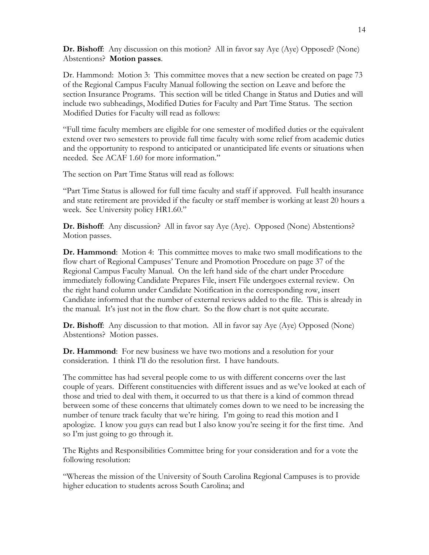**Dr. Bishoff**: Any discussion on this motion? All in favor say Aye (Aye) Opposed? (None) Abstentions? **Motion passes**.

Dr. Hammond: Motion 3: This committee moves that a new section be created on page 73 of the Regional Campus Faculty Manual following the section on Leave and before the section Insurance Programs. This section will be titled Change in Status and Duties and will include two subheadings, Modified Duties for Faculty and Part Time Status. The section Modified Duties for Faculty will read as follows:

"Full time faculty members are eligible for one semester of modified duties or the equivalent extend over two semesters to provide full time faculty with some relief from academic duties and the opportunity to respond to anticipated or unanticipated life events or situations when needed. See ACAF 1.60 for more information."

The section on Part Time Status will read as follows:

"Part Time Status is allowed for full time faculty and staff if approved. Full health insurance and state retirement are provided if the faculty or staff member is working at least 20 hours a week. See University policy HR1.60."

**Dr. Bishoff**: Any discussion? All in favor say Aye (Aye). Opposed (None) Abstentions? Motion passes.

**Dr. Hammond**: Motion 4: This committee moves to make two small modifications to the flow chart of Regional Campuses' Tenure and Promotion Procedure on page 37 of the Regional Campus Faculty Manual. On the left hand side of the chart under Procedure immediately following Candidate Prepares File, insert File undergoes external review. On the right hand column under Candidate Notification in the corresponding row, insert Candidate informed that the number of external reviews added to the file. This is already in the manual. It's just not in the flow chart. So the flow chart is not quite accurate.

**Dr. Bishoff**: Any discussion to that motion. All in favor say Aye (Aye) Opposed (None) Abstentions? Motion passes.

**Dr. Hammond**: For new business we have two motions and a resolution for your consideration. I think I'll do the resolution first. I have handouts.

The committee has had several people come to us with different concerns over the last couple of years. Different constituencies with different issues and as we've looked at each of those and tried to deal with them, it occurred to us that there is a kind of common thread between some of these concerns that ultimately comes down to we need to be increasing the number of tenure track faculty that we're hiring. I'm going to read this motion and I apologize. I know you guys can read but I also know you're seeing it for the first time. And so I'm just going to go through it.

The Rights and Responsibilities Committee bring for your consideration and for a vote the following resolution:

"Whereas the mission of the University of South Carolina Regional Campuses is to provide higher education to students across South Carolina; and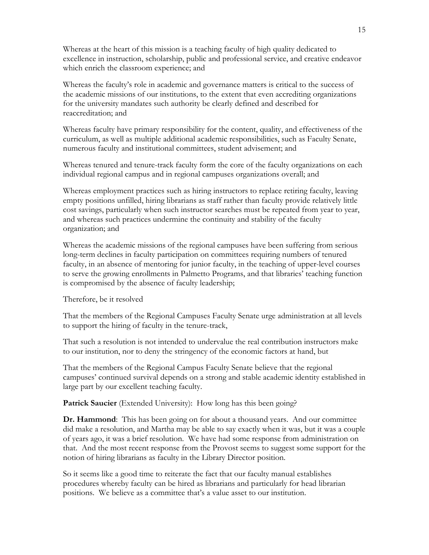Whereas at the heart of this mission is a teaching faculty of high quality dedicated to excellence in instruction, scholarship, public and professional service, and creative endeavor which enrich the classroom experience; and

Whereas the faculty's role in academic and governance matters is critical to the success of the academic missions of our institutions, to the extent that even accrediting organizations for the university mandates such authority be clearly defined and described for reaccreditation; and

Whereas faculty have primary responsibility for the content, quality, and effectiveness of the curriculum, as well as multiple additional academic responsibilities, such as Faculty Senate, numerous faculty and institutional committees, student advisement; and

Whereas tenured and tenure-track faculty form the core of the faculty organizations on each individual regional campus and in regional campuses organizations overall; and

Whereas employment practices such as hiring instructors to replace retiring faculty, leaving empty positions unfilled, hiring librarians as staff rather than faculty provide relatively little cost savings, particularly when such instructor searches must be repeated from year to year, and whereas such practices undermine the continuity and stability of the faculty organization; and

Whereas the academic missions of the regional campuses have been suffering from serious long-term declines in faculty participation on committees requiring numbers of tenured faculty, in an absence of mentoring for junior faculty, in the teaching of upper-level courses to serve the growing enrollments in Palmetto Programs, and that libraries' teaching function is compromised by the absence of faculty leadership;

Therefore, be it resolved

That the members of the Regional Campuses Faculty Senate urge administration at all levels to support the hiring of faculty in the tenure-track,

That such a resolution is not intended to undervalue the real contribution instructors make to our institution, nor to deny the stringency of the economic factors at hand, but

That the members of the Regional Campus Faculty Senate believe that the regional campuses' continued survival depends on a strong and stable academic identity established in large part by our excellent teaching faculty.

**Patrick Saucier** (Extended University): How long has this been going?

**Dr. Hammond**: This has been going on for about a thousand years. And our committee did make a resolution, and Martha may be able to say exactly when it was, but it was a couple of years ago, it was a brief resolution. We have had some response from administration on that. And the most recent response from the Provost seems to suggest some support for the notion of hiring librarians as faculty in the Library Director position.

So it seems like a good time to reiterate the fact that our faculty manual establishes procedures whereby faculty can be hired as librarians and particularly for head librarian positions. We believe as a committee that's a value asset to our institution.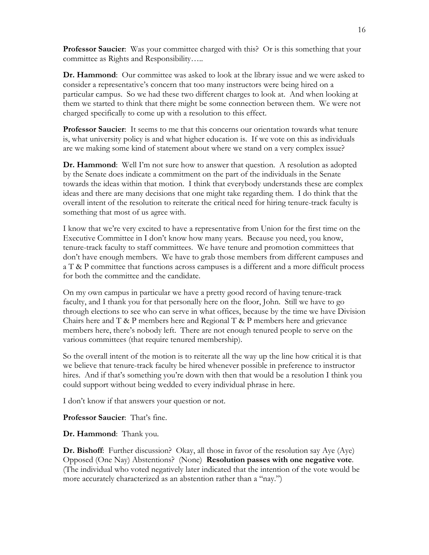**Professor Saucier**: Was your committee charged with this? Or is this something that your committee as Rights and Responsibility…..

**Dr. Hammond**: Our committee was asked to look at the library issue and we were asked to consider a representative's concern that too many instructors were being hired on a particular campus. So we had these two different charges to look at. And when looking at them we started to think that there might be some connection between them. We were not charged specifically to come up with a resolution to this effect.

**Professor Saucier**: It seems to me that this concerns our orientation towards what tenure is, what university policy is and what higher education is. If we vote on this as individuals are we making some kind of statement about where we stand on a very complex issue?

**Dr. Hammond**: Well I'm not sure how to answer that question. A resolution as adopted by the Senate does indicate a commitment on the part of the individuals in the Senate towards the ideas within that motion. I think that everybody understands these are complex ideas and there are many decisions that one might take regarding them. I do think that the overall intent of the resolution to reiterate the critical need for hiring tenure-track faculty is something that most of us agree with.

I know that we're very excited to have a representative from Union for the first time on the Executive Committee in I don't know how many years. Because you need, you know, tenure-track faculty to staff committees. We have tenure and promotion committees that don't have enough members. We have to grab those members from different campuses and a T & P committee that functions across campuses is a different and a more difficult process for both the committee and the candidate.

On my own campus in particular we have a pretty good record of having tenure-track faculty, and I thank you for that personally here on the floor, John. Still we have to go through elections to see who can serve in what offices, because by the time we have Division Chairs here and T & P members here and Regional T & P members here and grievance members here, there's nobody left. There are not enough tenured people to serve on the various committees (that require tenured membership).

So the overall intent of the motion is to reiterate all the way up the line how critical it is that we believe that tenure-track faculty be hired whenever possible in preference to instructor hires. And if that's something you're down with then that would be a resolution I think you could support without being wedded to every individual phrase in here.

I don't know if that answers your question or not.

**Professor Saucier**: That's fine.

**Dr. Hammond**: Thank you.

**Dr. Bishoff**: Further discussion? Okay, all those in favor of the resolution say Aye (Aye) Opposed (One Nay) Abstentions? (None) **Resolution passes with one negative vote**. (The individual who voted negatively later indicated that the intention of the vote would be more accurately characterized as an abstention rather than a "nay.")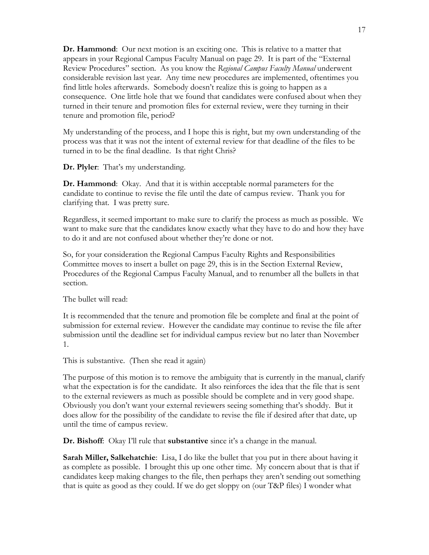**Dr. Hammond**: Our next motion is an exciting one. This is relative to a matter that appears in your Regional Campus Faculty Manual on page 29. It is part of the "External Review Procedures" section. As you know the *Regional Campus Faculty Manual* underwent considerable revision last year. Any time new procedures are implemented, oftentimes you find little holes afterwards. Somebody doesn't realize this is going to happen as a consequence. One little hole that we found that candidates were confused about when they turned in their tenure and promotion files for external review, were they turning in their tenure and promotion file, period?

My understanding of the process, and I hope this is right, but my own understanding of the process was that it was not the intent of external review for that deadline of the files to be turned in to be the final deadline. Is that right Chris?

**Dr. Plyler**: That's my understanding.

**Dr. Hammond**: Okay. And that it is within acceptable normal parameters for the candidate to continue to revise the file until the date of campus review. Thank you for clarifying that. I was pretty sure.

Regardless, it seemed important to make sure to clarify the process as much as possible. We want to make sure that the candidates know exactly what they have to do and how they have to do it and are not confused about whether they're done or not.

So, for your consideration the Regional Campus Faculty Rights and Responsibilities Committee moves to insert a bullet on page 29, this is in the Section External Review, Procedures of the Regional Campus Faculty Manual, and to renumber all the bullets in that section.

The bullet will read:

It is recommended that the tenure and promotion file be complete and final at the point of submission for external review. However the candidate may continue to revise the file after submission until the deadline set for individual campus review but no later than November 1.

This is substantive. (Then she read it again)

The purpose of this motion is to remove the ambiguity that is currently in the manual, clarify what the expectation is for the candidate. It also reinforces the idea that the file that is sent to the external reviewers as much as possible should be complete and in very good shape. Obviously you don't want your external reviewers seeing something that's shoddy. But it does allow for the possibility of the candidate to revise the file if desired after that date, up until the time of campus review.

**Dr. Bishoff**: Okay I'll rule that **substantive** since it's a change in the manual.

**Sarah Miller, Salkehatchie**: Lisa, I do like the bullet that you put in there about having it as complete as possible. I brought this up one other time. My concern about that is that if candidates keep making changes to the file, then perhaps they aren't sending out something that is quite as good as they could. If we do get sloppy on (our T&P files) I wonder what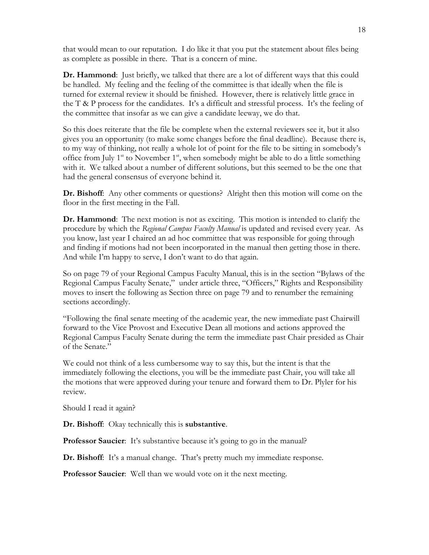that would mean to our reputation. I do like it that you put the statement about files being as complete as possible in there. That is a concern of mine.

**Dr. Hammond**: Just briefly, we talked that there are a lot of different ways that this could be handled. My feeling and the feeling of the committee is that ideally when the file is turned for external review it should be finished. However, there is relatively little grace in the T & P process for the candidates. It's a difficult and stressful process. It's the feeling of the committee that insofar as we can give a candidate leeway, we do that.

So this does reiterate that the file be complete when the external reviewers see it, but it also gives you an opportunity (to make some changes before the final deadline). Because there is, to my way of thinking, not really a whole lot of point for the file to be sitting in somebody's office from July  $1<sup>st</sup>$  to November  $1<sup>st</sup>$ , when somebody might be able to do a little something with it. We talked about a number of different solutions, but this seemed to be the one that had the general consensus of everyone behind it.

**Dr. Bishoff**: Any other comments or questions? Alright then this motion will come on the floor in the first meeting in the Fall.

**Dr. Hammond**: The next motion is not as exciting. This motion is intended to clarify the procedure by which the *Regional Campus Faculty Manual* is updated and revised every year. As you know, last year I chaired an ad hoc committee that was responsible for going through and finding if motions had not been incorporated in the manual then getting those in there. And while I'm happy to serve, I don't want to do that again.

So on page 79 of your Regional Campus Faculty Manual, this is in the section "Bylaws of the Regional Campus Faculty Senate," under article three, "Officers," Rights and Responsibility moves to insert the following as Section three on page 79 and to renumber the remaining sections accordingly.

"Following the final senate meeting of the academic year, the new immediate past Chairwill forward to the Vice Provost and Executive Dean all motions and actions approved the Regional Campus Faculty Senate during the term the immediate past Chair presided as Chair of the Senate."

We could not think of a less cumbersome way to say this, but the intent is that the immediately following the elections, you will be the immediate past Chair, you will take all the motions that were approved during your tenure and forward them to Dr. Plyler for his review.

Should I read it again?

**Dr. Bishoff**: Okay technically this is **substantive**.

**Professor Saucier**: It's substantive because it's going to go in the manual?

**Dr. Bishoff**: It's a manual change. That's pretty much my immediate response.

**Professor Saucier**: Well than we would vote on it the next meeting.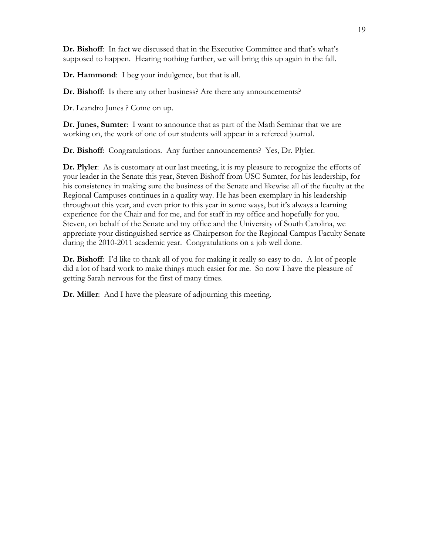**Dr. Bishoff**: In fact we discussed that in the Executive Committee and that's what's supposed to happen. Hearing nothing further, we will bring this up again in the fall.

**Dr. Hammond**: I beg your indulgence, but that is all.

**Dr. Bishoff**: Is there any other business? Are there any announcements?

Dr. Leandro Junes ? Come on up.

**Dr. Junes, Sumter**: I want to announce that as part of the Math Seminar that we are working on, the work of one of our students will appear in a refereed journal.

**Dr. Bishoff**: Congratulations. Any further announcements? Yes, Dr. Plyler.

**Dr. Plyler**: As is customary at our last meeting, it is my pleasure to recognize the efforts of your leader in the Senate this year, Steven Bishoff from USC-Sumter, for his leadership, for his consistency in making sure the business of the Senate and likewise all of the faculty at the Regional Campuses continues in a quality way. He has been exemplary in his leadership throughout this year, and even prior to this year in some ways, but it's always a learning experience for the Chair and for me, and for staff in my office and hopefully for you. Steven, on behalf of the Senate and my office and the University of South Carolina, we appreciate your distinguished service as Chairperson for the Regional Campus Faculty Senate during the 2010-2011 academic year. Congratulations on a job well done.

**Dr. Bishoff**: I'd like to thank all of you for making it really so easy to do. A lot of people did a lot of hard work to make things much easier for me. So now I have the pleasure of getting Sarah nervous for the first of many times.

**Dr. Miller**: And I have the pleasure of adjourning this meeting.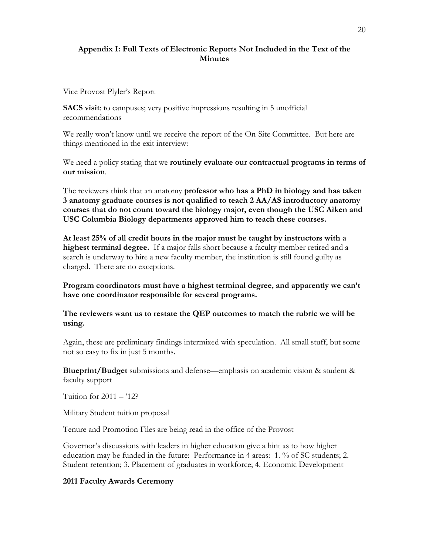## **Appendix I: Full Texts of Electronic Reports Not Included in the Text of the Minutes**

#### Vice Provost Plyler's Report

**SACS visit**: to campuses; very positive impressions resulting in 5 unofficial recommendations

We really won't know until we receive the report of the On-Site Committee. But here are things mentioned in the exit interview:

We need a policy stating that we **routinely evaluate our contractual programs in terms of our mission**.

The reviewers think that an anatomy **professor who has a PhD in biology and has taken 3 anatomy graduate courses is not qualified to teach 2 AA/AS introductory anatomy courses that do not count toward the biology major, even though the USC Aiken and USC Columbia Biology departments approved him to teach these courses.** 

**At least 25% of all credit hours in the major must be taught by instructors with a highest terminal degree.** If a major falls short because a faculty member retired and a search is underway to hire a new faculty member, the institution is still found guilty as charged. There are no exceptions.

**Program coordinators must have a highest terminal degree, and apparently we can't have one coordinator responsible for several programs.** 

**The reviewers want us to restate the QEP outcomes to match the rubric we will be using.**

Again, these are preliminary findings intermixed with speculation. All small stuff, but some not so easy to fix in just 5 months.

**Blueprint/Budget** submissions and defense—emphasis on academic vision & student & faculty support

Tuition for  $2011 - 12$ ?

Military Student tuition proposal

Tenure and Promotion Files are being read in the office of the Provost

Governor's discussions with leaders in higher education give a hint as to how higher education may be funded in the future: Performance in 4 areas: 1. % of SC students; 2. Student retention; 3. Placement of graduates in workforce; 4. Economic Development

### **2011 Faculty Awards Ceremony**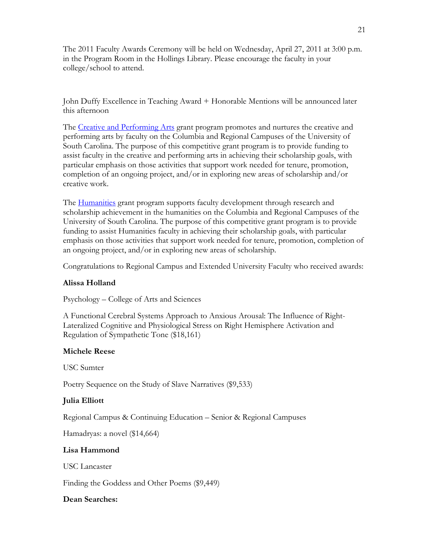The 2011 Faculty Awards Ceremony will be held on Wednesday, April 27, 2011 at 3:00 p.m. in the Program Room in the Hollings Library. Please encourage the faculty in your college/school to attend.

John Duffy Excellence in Teaching Award + Honorable Mentions will be announced later this afternoon

The Creative and Performing Arts grant program promotes and nurtures the creative and performing arts by faculty on the Columbia and Regional Campuses of the University of South Carolina. The purpose of this competitive grant program is to provide funding to assist faculty in the creative and performing arts in achieving their scholarship goals, with particular emphasis on those activities that support work needed for tenure, promotion, completion of an ongoing project, and/or in exploring new areas of scholarship and/or creative work.

The Humanities grant program supports faculty development through research and scholarship achievement in the humanities on the Columbia and Regional Campuses of the University of South Carolina. The purpose of this competitive grant program is to provide funding to assist Humanities faculty in achieving their scholarship goals, with particular emphasis on those activities that support work needed for tenure, promotion, completion of an ongoing project, and/or in exploring new areas of scholarship.

Congratulations to Regional Campus and Extended University Faculty who received awards:

### **Alissa Holland**

Psychology – College of Arts and Sciences

A Functional Cerebral Systems Approach to Anxious Arousal: The Influence of Right-Lateralized Cognitive and Physiological Stress on Right Hemisphere Activation and Regulation of Sympathetic Tone (\$18,161)

### **Michele Reese**

USC Sumter

Poetry Sequence on the Study of Slave Narratives (\$9,533)

## **Julia Elliott**

Regional Campus & Continuing Education – Senior & Regional Campuses

Hamadryas: a novel (\$14,664)

### **Lisa Hammond**

USC Lancaster

Finding the Goddess and Other Poems (\$9,449)

### **Dean Searches:**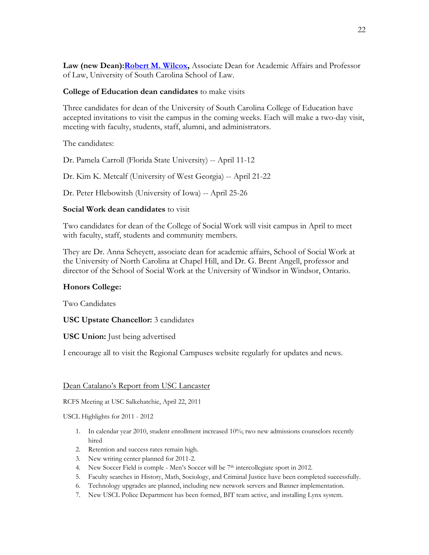Law (new Dean): Robert M. Wilcox, Associate Dean for Academic Affairs and Professor of Law, University of South Carolina School of Law.

### **College of Education dean candidates** to make visits

Three candidates for dean of the University of South Carolina College of Education have accepted invitations to visit the campus in the coming weeks. Each will make a two-day visit, meeting with faculty, students, staff, alumni, and administrators.

The candidates:

Dr. Pamela Carroll (Florida State University) -- April 11-12

Dr. Kim K. Metcalf (University of West Georgia) -- April 21-22

Dr. Peter Hlebowitsh (University of Iowa) -- April 25-26

### **Social Work dean candidates** to visit

Two candidates for dean of the College of Social Work will visit campus in April to meet with faculty, staff, students and community members.

They are Dr. Anna Scheyett, associate dean for academic affairs, School of Social Work at the University of North Carolina at Chapel Hill, and Dr. G. Brent Angell, professor and director of the School of Social Work at the University of Windsor in Windsor, Ontario.

## **Honors College:**

Two Candidates

## **USC Upstate Chancellor:** 3 candidates

### **USC Union:** Just being advertised

I encourage all to visit the Regional Campuses website regularly for updates and news.

### Dean Catalano's Report from USC Lancaster

RCFS Meeting at USC Salkehatchie, April 22, 2011

### USCL Highlights for 2011 - 2012

- 1. In calendar year 2010, student enrollment increased 10%; two new admissions counselors recently hired
- 2. Retention and success rates remain high.
- 3. New writing center planned for 2011-2.
- 4. New Soccer Field is comple Men's Soccer will be 7th intercollegiate sport in 2012.
- 5. Faculty searches in History, Math, Sociology, and Criminal Justice have been completed successfully.
- 6. Technology upgrades are planned, including new network servers and Banner implementation.
- 7. New USCL Police Department has been formed, BIT team active, and installing Lynx system.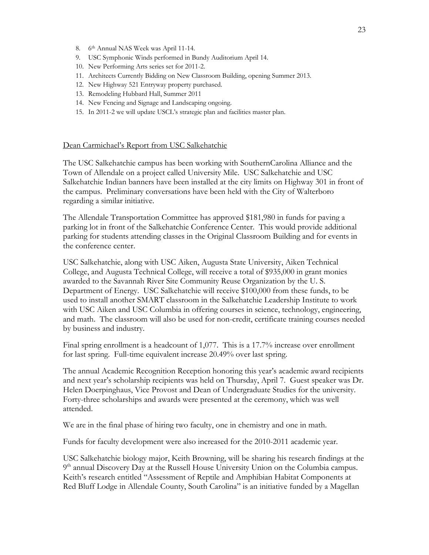- 8. 6th Annual NAS Week was April 11-14.
- 9. USC Symphonic Winds performed in Bundy Auditorium April 14.
- 10. New Performing Arts series set for 2011-2.
- 11. Architects Currently Bidding on New Classroom Building, opening Summer 2013.
- 12. New Highway 521 Entryway property purchased.
- 13. Remodeling Hubbard Hall, Summer 2011
- 14. New Fencing and Signage and Landscaping ongoing.
- 15. In 2011-2 we will update USCL's strategic plan and facilities master plan.

#### Dean Carmichael's Report from USC Salkehatchie

The USC Salkehatchie campus has been working with SouthernCarolina Alliance and the Town of Allendale on a project called University Mile. USC Salkehatchie and USC Salkehatchie Indian banners have been installed at the city limits on Highway 301 in front of the campus. Preliminary conversations have been held with the City of Walterboro regarding a similar initiative.

The Allendale Transportation Committee has approved \$181,980 in funds for paving a parking lot in front of the Salkehatchie Conference Center. This would provide additional parking for students attending classes in the Original Classroom Building and for events in the conference center.

USC Salkehatchie, along with USC Aiken, Augusta State University, Aiken Technical College, and Augusta Technical College, will receive a total of \$935,000 in grant monies awarded to the Savannah River Site Community Reuse Organization by the U. S. Department of Energy. USC Salkehatchie will receive \$100,000 from these funds, to be used to install another SMART classroom in the Salkehatchie Leadership Institute to work with USC Aiken and USC Columbia in offering courses in science, technology, engineering, and math. The classroom will also be used for non-credit, certificate training courses needed by business and industry.

Final spring enrollment is a headcount of 1,077. This is a 17.7% increase over enrollment for last spring. Full-time equivalent increase 20.49% over last spring.

The annual Academic Recognition Reception honoring this year's academic award recipients and next year's scholarship recipients was held on Thursday, April 7. Guest speaker was Dr. Helen Doerpinghaus, Vice Provost and Dean of Undergraduate Studies for the university. Forty-three scholarships and awards were presented at the ceremony, which was well attended.

We are in the final phase of hiring two faculty, one in chemistry and one in math.

Funds for faculty development were also increased for the 2010-2011 academic year.

USC Salkehatchie biology major, Keith Browning, will be sharing his research findings at the  $9<sup>th</sup>$  annual Discovery Day at the Russell House University Union on the Columbia campus. Keith's research entitled "Assessment of Reptile and Amphibian Habitat Components at Red Bluff Lodge in Allendale County, South Carolina" is an initiative funded by a Magellan